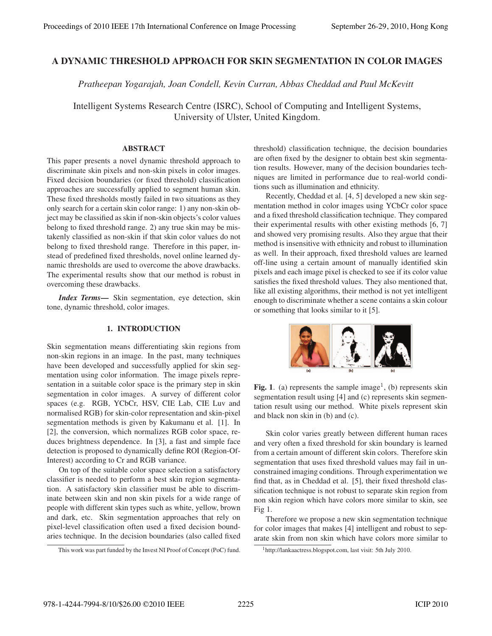# A DYNAMIC THRESHOLD APPROACH FOR SKIN SEGMENTATION IN COLOR IMAGES

*Pratheepan Yogarajah, Joan Condell, Kevin Curran, Abbas Cheddad and Paul McKevitt*

Intelligent Systems Research Centre (ISRC), School of Computing and Intelligent Systems, University of Ulster, United Kingdom.

#### **ABSTRACT**

This paper presents a novel dynamic threshold approach to discriminate skin pixels and non-skin pixels in color images. Fixed decision boundaries (or fixed threshold) classification approaches are successfully applied to segment human skin. These fixed thresholds mostly failed in two situations as they only search for a certain skin color range: 1) any non-skin object may be classified as skin if non-skin objects's color values belong to fixed threshold range. 2) any true skin may be mistakenly classified as non-skin if that skin color values do not belong to fixed threshold range. Therefore in this paper, instead of predefined fixed thresholds, novel online learned dynamic thresholds are used to overcome the above drawbacks. The experimental results show that our method is robust in overcoming these drawbacks.

*Index Terms*— Skin segmentation, eye detection, skin tone, dynamic threshold, color images.

#### 1. INTRODUCTION 1. INTRODUCTION

Skin segmentation means differentiating skin regions from non-skin regions in an image. In the past, many techniques have been developed and successfully applied for skin segmentation using color information. The image pixels representation in a suitable color space is the primary step in skin segmentation in color images. A survey of different color spaces (e.g. RGB, YCbCr, HSV, CIE Lab, CIE Luv and normalised RGB) for skin-color representation and skin-pixel segmentation methods is given by Kakumanu et al. [1]. In [2], the conversion, which normalizes RGB color space, reduces brightness dependence. In [3], a fast and simple face detection is proposed to dynamically define ROI (Region-Of-Interest) according to Cr and RGB variance.

On top of the suitable color space selection a satisfactory classifier is needed to perform a best skin region segmentation. A satisfactory skin classifier must be able to discriminate between skin and non skin pixels for a wide range of people with different skin types such as white, yellow, brown and dark, etc. Skin segmentation approaches that rely on pixel-level classification often used a fixed decision boundaries technique. In the decision boundaries (also called fixed threshold) classification technique, the decision boundaries are often fixed by the designer to obtain best skin segmentation results. However, many of the decision boundaries techniques are limited in performance due to real-world conditions such as illumination and ethnicity.

Recently, Cheddad et al. [4, 5] developed a new skin segmentation method in color images using YCbCr color space and a fixed threshold classification technique. They compared their experimental results with other existing methods [6, 7] and showed very promising results. Also they argue that their method is insensitive with ethnicity and robust to illumination as well. In their approach, fixed threshold values are learned off-line using a certain amount of manually identified skin pixels and each image pixel is checked to see if its color value satisfies the fixed threshold values. They also mentioned that, like all existing algorithms, their method is not yet intelligent enough to discriminate whether a scene contains a skin colour or something that looks similar to it [5].



Fig. 1. (a) represents the sample image<sup>1</sup>, (b) represents skin segmentation result using [4] and (c) represents skin segmentation result using our method. White pixels represent skin and black non skin in (b) and (c).

Skin color varies greatly between different human races and very often a fixed threshold for skin boundary is learned from a certain amount of different skin colors. Therefore skin segmentation that uses fixed threshold values may fail in unconstrained imaging conditions. Through experimentation we find that, as in Cheddad et al. [5], their fixed threshold classification technique is not robust to separate skin region from non skin region which have colors more similar to skin, see Fig 1.

Therefore we propose a new skin segmentation technique for color images that makes [4] intelligent and robust to separate skin from non skin which have colors more similar to

This work was part funded by the Invest NI Proof of Concept (PoC) fund.

<sup>1</sup>http://lankaactress.blogspot.com, last visit: 5th July 2010.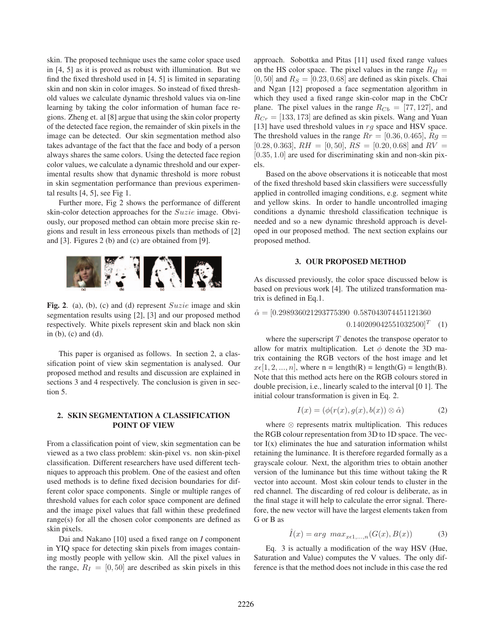skin. The proposed technique uses the same color space used in [4, 5] as it is proved as robust with illumination. But we find the fixed threshold used in [4, 5] is limited in separating skin and non skin in color images. So instead of fixed threshold values we calculate dynamic threshold values via on-line learning by taking the color information of human face regions. Zheng et. al [8] argue that using the skin color property of the detected face region, the remainder of skin pixels in the image can be detected. Our skin segmentation method also takes advantage of the fact that the face and body of a person always shares the same colors. Using the detected face region color values, we calculate a dynamic threshold and our experimental results show that dynamic threshold is more robust in skin segmentation performance than previous experimental results [4, 5], see Fig 1.

Further more, Fig 2 shows the performance of different skin-color detection approaches for the Suzie image. Obviously, our proposed method can obtain more precise skin regions and result in less erroneous pixels than methods of [2] and [3]. Figures 2 (b) and (c) are obtained from [9].



Fig. 2. (a), (b), (c) and (d) represent  $Suzie$  image and skin segmentation results using [2], [3] and our proposed method respectively. White pixels represent skin and black non skin in (b), (c) and (d).

This paper is organised as follows. In section 2, a classification point of view skin segmentation is analysed. Our proposed method and results and discussion are explained in sections 3 and 4 respectively. The conclusion is given in section 5.

#### 2. SKIN SEGMENTATION A CLASSIFICATION POINT OF VIEW

From a classification point of view, skin segmentation can be viewed as a two class problem: skin-pixel vs. non skin-pixel classification. Different researchers have used different techniques to approach this problem. One of the easiest and often used methods is to define fixed decision boundaries for different color space components. Single or multiple ranges of threshold values for each color space component are defined and the image pixel values that fall within these predefined range(s) for all the chosen color components are defined as skin pixels.

Dai and Nakano [10] used a fixed range on *I* component in YIQ space for detecting skin pixels from images containing mostly people with yellow skin. All the pixel values in the range,  $R_I = [0, 50]$  are described as skin pixels in this approach. Sobottka and Pitas [11] used fixed range values on the HS color space. The pixel values in the range  $R_H =$  $[0, 50]$  and  $R_s = [0.23, 0.68]$  are defined as skin pixels. Chai and Ngan [12] proposed a face segmentation algorithm in which they used a fixed range skin-color map in the CbCr plane. The pixel values in the range  $R_{Cb} = [77, 127]$ , and  $R_{Cr} = [133, 173]$  are defined as skin pixels. Wang and Yuan [13] have used threshold values in  $rg$  space and HSV space. The threshold values in the range  $Rr = [0.36, 0.465]$ ,  $Rg =$ [0.28, 0.363],  $RH = [0, 50]$ ,  $RS = [0.20, 0.68]$  and  $RV =$  $[0.35, 1.0]$  are used for discriminating skin and non-skin pixels.

Based on the above observations it is noticeable that most of the fixed threshold based skin classifiers were successfully applied in controlled imaging conditions, e.g. segment white and yellow skins. In order to handle uncontrolled imaging conditions a dynamic threshold classification technique is needed and so a new dynamic threshold approach is developed in our proposed method. The next section explains our proposed method.

## 3. OUR PROPOSED METHOD

As discussed previously, the color space discussed below is based on previous work [4]. The utilized transformation matrix is defined in Eq.1.

$$
\hat{\alpha} = [0.298936021293775390 \ \ 0.587043074451121360
$$

$$
0.140209042551032500]^T \quad (1)
$$

where the superscript  $T$  denotes the transpose operator to allow for matrix multiplication. Let  $\phi$  denote the 3D matrix containing the RGB vectors of the host image and let  $x \in [1, 2, ..., n]$ , where  $n = length(R) = length(G) = length(B)$ . Note that this method acts here on the RGB colours stored in double precision, i.e., linearly scaled to the interval [0 1]. The initial colour transformation is given in Eq. 2.

$$
I(x) = (\phi(r(x), g(x), b(x)) \otimes \hat{\alpha})
$$
 (2)

where ⊗ represents matrix multiplication. This reduces the RGB colour representation from 3D to 1D space. The vector  $I(x)$  eliminates the hue and saturation information whilst retaining the luminance. It is therefore regarded formally as a grayscale colour. Next, the algorithm tries to obtain another version of the luminance but this time without taking the R vector into account. Most skin colour tends to cluster in the red channel. The discarding of red colour is deliberate, as in the final stage it will help to calculate the error signal. Therefore, the new vector will have the largest elements taken from G or B as

$$
\hat{I}(x) = arg \ max_{x \in 1, \dots, n} (G(x), B(x)) \tag{3}
$$

Eq. 3 is actually a modification of the way HSV (Hue, Saturation and Value) computes the V values. The only difference is that the method does not include in this case the red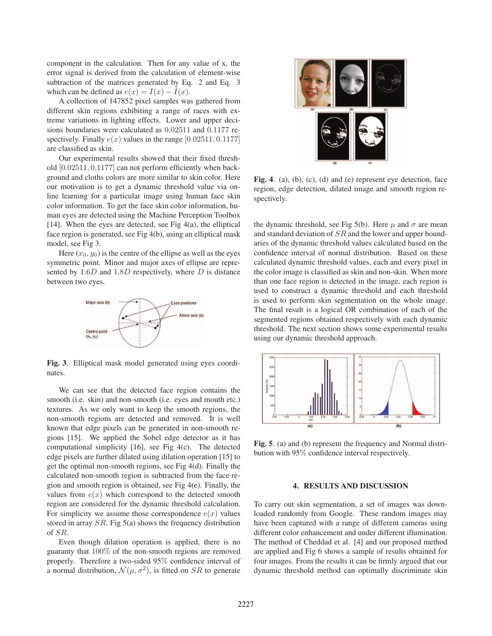component in the calculation. Then for any value of x, the error signal is derived from the calculation of element-wise subtraction of the matrices generated by Eq. 2 and Eq. 3 which can be defined as  $e(x) = I(x) - \hat{I}(x)$ .

A collection of 147852 pixel samples was gathered from different skin regions exhibiting a range of races with extreme variations in lighting effects. Lower and upper decisions boundaries were calculated as <sup>0</sup>.<sup>02511</sup> and <sup>0</sup>.<sup>1177</sup> respectively. Finally  $e(x)$  values in the range [0.02511, 0.1177] are classified as skin.

Our experimental results showed that their fixed threshold [0.02511, <sup>0</sup>.1177] can not perform efficiently when background and cloths colors are more similar to skin color. Here our motivation is to get a dynamic threshold value via online learning for a particular image using human face skin color information. To get the face skin color information, human eyes are detected using the Machine Perception Toolbox [14]. When the eyes are detected, see Fig  $4(a)$ , the elliptical face region is generated, see Fig 4(b), using an elliptical mask model, see Fig 3.

Here  $(x_0, y_0)$  is the centre of the ellipse as well as the eyes symmetric point. Minor and major axes of ellipse are represented by 1.6D and 1.8D respectively, where D is distance between two eyes.



Fig. 3. Elliptical mask model generated using eyes coordinates.

We can see that the detected face region contains the smooth (i.e. skin) and non-smooth (i.e. eyes and mouth etc.) textures. As we only want to keep the smooth regions, the non-smooth regions are detected and removed. It is well known that edge pixels can be generated in non-smooth regions [15]. We applied the Sobel edge detector as it has computational simplicity [16], see Fig 4(c). The detected edge pixels are further dilated using dilation operation [15] to get the optimal non-smooth regions, see Fig 4(d). Finally the calculated non-smooth region is subtracted from the face region and smooth region is obtained, see Fig 4(e). Finally, the values from  $e(x)$  which correspond to the detected smooth region are considered for the dynamic threshold calculation. For simplicity we assume those correspondence  $e(x)$  values stored in array  $SR$ . Fig 5(a) shows the frequency distribution of SR.

Even though dilation operation is applied, there is no guaranty that 100% of the non-smooth regions are removed properly. Therefore a two-sided 95% confidence interval of a normal distribution,  $\mathcal{N}(\mu, \sigma^2)$ , is fitted on SR to generate



Fig. 4. (a), (b), (c), (d) and (e) represent eye detection, face region, edge detection, dilated image and smooth region respectively.

the dynamic threshold, see Fig 5(b). Here  $\mu$  and  $\sigma$  are mean and standard deviation of SR and the lower and upper boundaries of the dynamic threshold values calculated based on the confidence interval of normal distribution. Based on these calculated dynamic threshold values, each and every pixel in the color image is classified as skin and non-skin. When more than one face region is detected in the image, each region is used to construct a dynamic threshold and each threshold is used to perform skin segmentation on the whole image. The final result is a logical OR combination of each of the segmented regions obtained respectively with each dynamic threshold. The next section shows some experimental results using our dynamic threshold approach.



Fig. 5. (a) and (b) represent the frequency and Normal distribution with 95% confidence interval respectively.

### $\overline{a}$  respectively. The discussion of  $\overline{a}$

To carry out skin segmentation, a set of images was downloaded randomly from Google. These random images may have been captured with a range of different cameras using different color enhancement and under different illumination. The method of Cheddad et al. [4] and our proposed method are applied and Fig 6 shows a sample of results obtained for four images. From the results it can be firmly argued that our dynamic threshold method can optimally discriminate skin